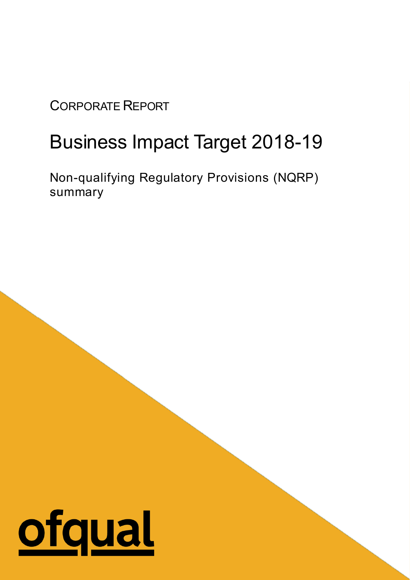## CORPORATE REPORT

## Business Impact Target 2018-19

Non-qualifying Regulatory Provisions (NQRP) summary

1

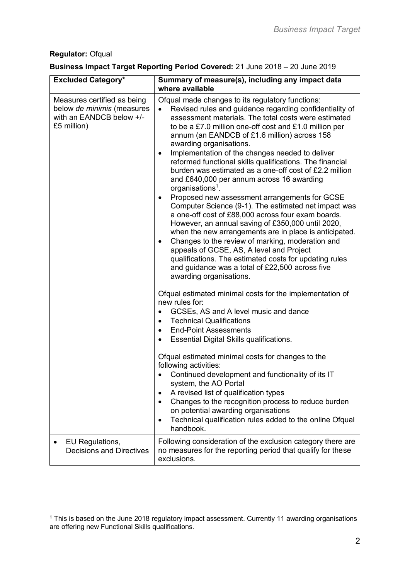## **Regulator:** Ofqual

## **Business Impact Target Reporting Period Covered:** 21 June 2018 – 20 June 2019

| <b>Excluded Category*</b>                                                                            | Summary of measure(s), including any impact data                                                                                                                                                                                                                                                                                                                                                                                                                                                                                                                                                                                                                                                                                                                                                                                                                                                                                                                                                                                                                                                                            |
|------------------------------------------------------------------------------------------------------|-----------------------------------------------------------------------------------------------------------------------------------------------------------------------------------------------------------------------------------------------------------------------------------------------------------------------------------------------------------------------------------------------------------------------------------------------------------------------------------------------------------------------------------------------------------------------------------------------------------------------------------------------------------------------------------------------------------------------------------------------------------------------------------------------------------------------------------------------------------------------------------------------------------------------------------------------------------------------------------------------------------------------------------------------------------------------------------------------------------------------------|
|                                                                                                      | where available                                                                                                                                                                                                                                                                                                                                                                                                                                                                                                                                                                                                                                                                                                                                                                                                                                                                                                                                                                                                                                                                                                             |
| Measures certified as being<br>below de minimis (measures<br>with an EANDCB below +/-<br>£5 million) | Ofqual made changes to its regulatory functions:<br>Revised rules and guidance regarding confidentiality of<br>assessment materials. The total costs were estimated<br>to be a £7.0 million one-off cost and £1.0 million per<br>annum (an EANDCB of £1.6 million) across 158<br>awarding organisations.<br>Implementation of the changes needed to deliver<br>$\bullet$<br>reformed functional skills qualifications. The financial<br>burden was estimated as a one-off cost of £2.2 million<br>and £640,000 per annum across 16 awarding<br>organisations <sup>1</sup> .<br>Proposed new assessment arrangements for GCSE<br>$\bullet$<br>Computer Science (9-1). The estimated net impact was<br>a one-off cost of £88,000 across four exam boards.<br>However, an annual saving of £350,000 until 2020,<br>when the new arrangements are in place is anticipated.<br>Changes to the review of marking, moderation and<br>$\bullet$<br>appeals of GCSE, AS, A level and Project<br>qualifications. The estimated costs for updating rules<br>and guidance was a total of £22,500 across five<br>awarding organisations. |
|                                                                                                      | Ofqual estimated minimal costs for the implementation of<br>new rules for:<br>GCSEs, AS and A level music and dance<br><b>Technical Qualifications</b><br>٠<br><b>End-Point Assessments</b><br>$\bullet$<br>Essential Digital Skills qualifications.<br>Ofqual estimated minimal costs for changes to the<br>following activities:<br>Continued development and functionality of its IT<br>system, the AO Portal<br>A revised list of qualification types<br>Changes to the recognition process to reduce burden<br>on potential awarding organisations                                                                                                                                                                                                                                                                                                                                                                                                                                                                                                                                                                     |
|                                                                                                      | Technical qualification rules added to the online Ofqual<br>handbook.                                                                                                                                                                                                                                                                                                                                                                                                                                                                                                                                                                                                                                                                                                                                                                                                                                                                                                                                                                                                                                                       |
| EU Regulations,<br><b>Decisions and Directives</b>                                                   | Following consideration of the exclusion category there are<br>no measures for the reporting period that qualify for these<br>exclusions.                                                                                                                                                                                                                                                                                                                                                                                                                                                                                                                                                                                                                                                                                                                                                                                                                                                                                                                                                                                   |

 $\overline{a}$  $1$  This is based on the June 2018 regulatory impact assessment. Currently 11 awarding organisations are offering new Functional Skills qualifications.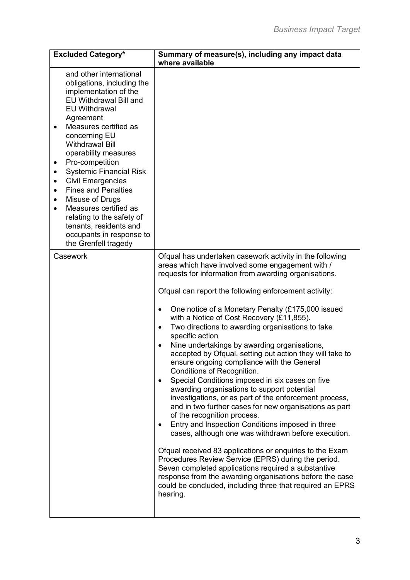| <b>Excluded Category*</b>                                                                                                                                                                                                                                                                                                                                                                                                                                                                                                                                                             | Summary of measure(s), including any impact data<br>where available                                                                                                                                                                                                                                                                                                                                                                                                                                                                                                                                                                                                                                                                                                                                                                                                                                                                                                                                                                                                                                                                                                                                                                                                                                                             |
|---------------------------------------------------------------------------------------------------------------------------------------------------------------------------------------------------------------------------------------------------------------------------------------------------------------------------------------------------------------------------------------------------------------------------------------------------------------------------------------------------------------------------------------------------------------------------------------|---------------------------------------------------------------------------------------------------------------------------------------------------------------------------------------------------------------------------------------------------------------------------------------------------------------------------------------------------------------------------------------------------------------------------------------------------------------------------------------------------------------------------------------------------------------------------------------------------------------------------------------------------------------------------------------------------------------------------------------------------------------------------------------------------------------------------------------------------------------------------------------------------------------------------------------------------------------------------------------------------------------------------------------------------------------------------------------------------------------------------------------------------------------------------------------------------------------------------------------------------------------------------------------------------------------------------------|
| and other international<br>obligations, including the<br>implementation of the<br>EU Withdrawal Bill and<br><b>EU Withdrawal</b><br>Agreement<br>Measures certified as<br>concerning EU<br><b>Withdrawal Bill</b><br>operability measures<br>Pro-competition<br>$\bullet$<br><b>Systemic Financial Risk</b><br>٠<br><b>Civil Emergencies</b><br>$\bullet$<br><b>Fines and Penalties</b><br>$\bullet$<br>Misuse of Drugs<br>$\bullet$<br>Measures certified as<br>$\bullet$<br>relating to the safety of<br>tenants, residents and<br>occupants in response to<br>the Grenfell tragedy |                                                                                                                                                                                                                                                                                                                                                                                                                                                                                                                                                                                                                                                                                                                                                                                                                                                                                                                                                                                                                                                                                                                                                                                                                                                                                                                                 |
| Casework                                                                                                                                                                                                                                                                                                                                                                                                                                                                                                                                                                              | Ofqual has undertaken casework activity in the following<br>areas which have involved some engagement with /<br>requests for information from awarding organisations.<br>Ofqual can report the following enforcement activity:<br>One notice of a Monetary Penalty (£175,000 issued<br>٠<br>with a Notice of Cost Recovery (£11,855).<br>Two directions to awarding organisations to take<br>$\bullet$<br>specific action<br>Nine undertakings by awarding organisations,<br>$\bullet$<br>accepted by Ofqual, setting out action they will take to<br>ensure ongoing compliance with the General<br>Conditions of Recognition.<br>Special Conditions imposed in six cases on five<br>$\bullet$<br>awarding organisations to support potential<br>investigations, or as part of the enforcement process,<br>and in two further cases for new organisations as part<br>of the recognition process.<br>Entry and Inspection Conditions imposed in three<br>٠<br>cases, although one was withdrawn before execution.<br>Ofqual received 83 applications or enquiries to the Exam<br>Procedures Review Service (EPRS) during the period.<br>Seven completed applications required a substantive<br>response from the awarding organisations before the case<br>could be concluded, including three that required an EPRS<br>hearing. |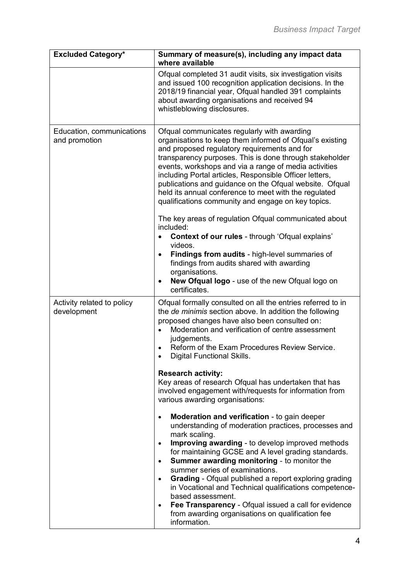| <b>Excluded Category*</b>                  | Summary of measure(s), including any impact data<br>where available                                                                                                                                                                                                                                                                                                                                                                                                                                                                                                                                                                                                  |
|--------------------------------------------|----------------------------------------------------------------------------------------------------------------------------------------------------------------------------------------------------------------------------------------------------------------------------------------------------------------------------------------------------------------------------------------------------------------------------------------------------------------------------------------------------------------------------------------------------------------------------------------------------------------------------------------------------------------------|
|                                            | Ofqual completed 31 audit visits, six investigation visits<br>and issued 100 recognition application decisions. In the<br>2018/19 financial year, Ofqual handled 391 complaints<br>about awarding organisations and received 94<br>whistleblowing disclosures.                                                                                                                                                                                                                                                                                                                                                                                                       |
| Education, communications<br>and promotion | Ofqual communicates regularly with awarding<br>organisations to keep them informed of Ofqual's existing<br>and proposed regulatory requirements and for<br>transparency purposes. This is done through stakeholder<br>events, workshops and via a range of media activities<br>including Portal articles, Responsible Officer letters,<br>publications and guidance on the Ofqual website. Ofqual<br>held its annual conference to meet with the regulated<br>qualifications community and engage on key topics.                                                                                                                                                     |
|                                            | The key areas of regulation Ofqual communicated about<br>included:<br>Context of our rules - through 'Ofqual explains'                                                                                                                                                                                                                                                                                                                                                                                                                                                                                                                                               |
|                                            | videos.<br>Findings from audits - high-level summaries of<br>$\bullet$<br>findings from audits shared with awarding<br>organisations.<br>New Ofqual logo - use of the new Ofqual logo on<br>certificates.                                                                                                                                                                                                                                                                                                                                                                                                                                                            |
| Activity related to policy<br>development  | Ofqual formally consulted on all the entries referred to in<br>the de minimis section above. In addition the following<br>proposed changes have also been consulted on:<br>Moderation and verification of centre assessment<br>judgements.<br>Reform of the Exam Procedures Review Service.<br><b>Digital Functional Skills.</b>                                                                                                                                                                                                                                                                                                                                     |
|                                            | <b>Research activity:</b><br>Key areas of research Ofqual has undertaken that has<br>involved engagement with/requests for information from<br>various awarding organisations:                                                                                                                                                                                                                                                                                                                                                                                                                                                                                       |
|                                            | Moderation and verification - to gain deeper<br>$\bullet$<br>understanding of moderation practices, processes and<br>mark scaling.<br>Improving awarding - to develop improved methods<br>$\bullet$<br>for maintaining GCSE and A level grading standards.<br><b>Summer awarding monitoring - to monitor the</b><br>$\bullet$<br>summer series of examinations.<br><b>Grading</b> - Ofqual published a report exploring grading<br>$\bullet$<br>in Vocational and Technical qualifications competence-<br>based assessment.<br>Fee Transparency - Ofqual issued a call for evidence<br>$\bullet$<br>from awarding organisations on qualification fee<br>information. |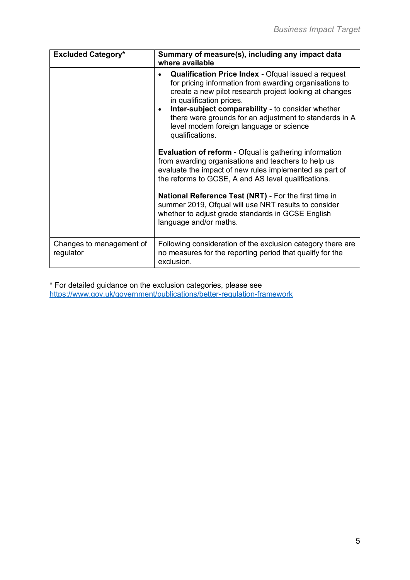| <b>Excluded Category*</b>             | Summary of measure(s), including any impact data<br>where available                                                                                                                                                                                                                                                                                                                                   |
|---------------------------------------|-------------------------------------------------------------------------------------------------------------------------------------------------------------------------------------------------------------------------------------------------------------------------------------------------------------------------------------------------------------------------------------------------------|
|                                       | <b>Qualification Price Index</b> - Ofqual issued a request<br>for pricing information from awarding organisations to<br>create a new pilot research project looking at changes<br>in qualification prices.<br>Inter-subject comparability - to consider whether<br>$\bullet$<br>there were grounds for an adjustment to standards in A<br>level modern foreign language or science<br>qualifications. |
|                                       | <b>Evaluation of reform</b> - Ofqual is gathering information<br>from awarding organisations and teachers to help us<br>evaluate the impact of new rules implemented as part of<br>the reforms to GCSE, A and AS level qualifications.                                                                                                                                                                |
|                                       | National Reference Test (NRT) - For the first time in<br>summer 2019, Ofqual will use NRT results to consider<br>whether to adjust grade standards in GCSE English<br>language and/or maths.                                                                                                                                                                                                          |
| Changes to management of<br>regulator | Following consideration of the exclusion category there are<br>no measures for the reporting period that qualify for the<br>exclusion.                                                                                                                                                                                                                                                                |

\* For detailed guidance on the exclusion categories, please see <https://www.gov.uk/government/publications/better-regulation-framework>